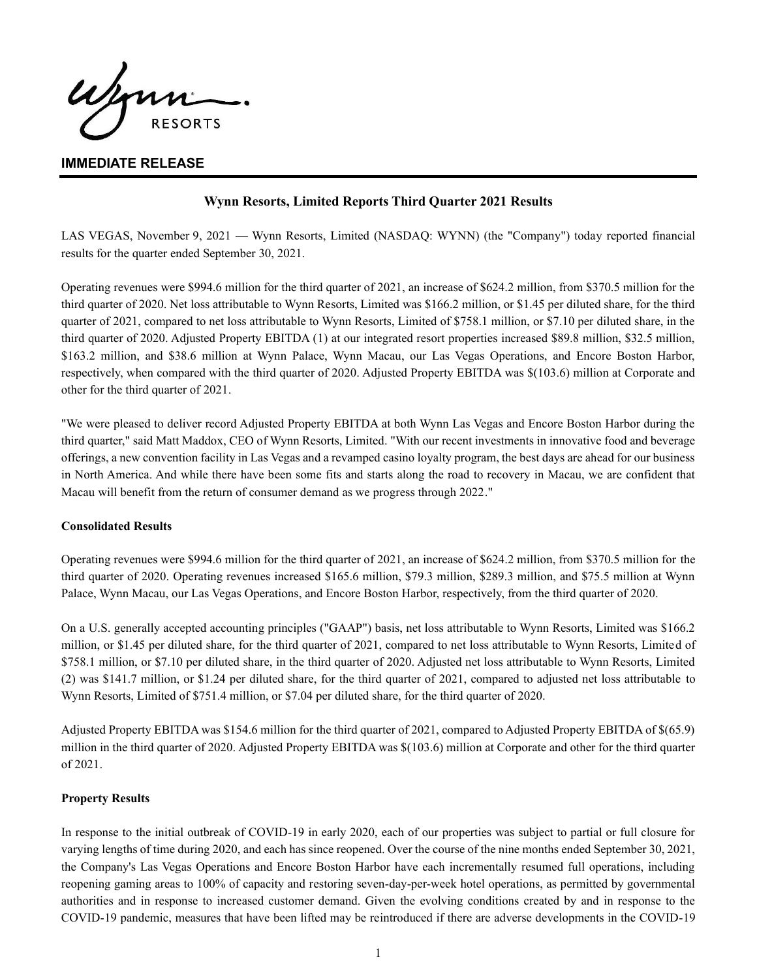Wenn **RESORTS** 

### **IMMEDIATE RELEASE**

### **Wynn Resorts, Limited Reports Third Quarter 2021 Results**

LAS VEGAS, November 9, 2021 — Wynn Resorts, Limited (NASDAQ: WYNN) (the "Company") today reported financial results for the quarter ended September 30, 2021.

Operating revenues were \$994.6 million for the third quarter of 2021, an increase of \$624.2 million, from \$370.5 million for the third quarter of 2020. Net loss attributable to Wynn Resorts, Limited was \$166.2 million, or \$1.45 per diluted share, for the third quarter of 2021, compared to net loss attributable to Wynn Resorts, Limited of \$758.1 million, or \$7.10 per diluted share, in the third quarter of 2020. Adjusted Property EBITDA (1) at our integrated resort properties increased \$89.8 million, \$32.5 million, \$163.2 million, and \$38.6 million at Wynn Palace, Wynn Macau, our Las Vegas Operations, and Encore Boston Harbor, respectively, when compared with the third quarter of 2020. Adjusted Property EBITDA was \$(103.6) million at Corporate and other for the third quarter of 2021.

"We were pleased to deliver record Adjusted Property EBITDA at both Wynn Las Vegas and Encore Boston Harbor during the third quarter," said Matt Maddox, CEO of Wynn Resorts, Limited. "With our recent investments in innovative food and beverage offerings, a new convention facility in Las Vegas and a revamped casino loyalty program, the best days are ahead for our business in North America. And while there have been some fits and starts along the road to recovery in Macau, we are confident that Macau will benefit from the return of consumer demand as we progress through 2022."

#### **Consolidated Results**

Operating revenues were \$994.6 million for the third quarter of 2021, an increase of \$624.2 million, from \$370.5 million for the third quarter of 2020. Operating revenues increased \$165.6 million, \$79.3 million, \$289.3 million, and \$75.5 million at Wynn Palace, Wynn Macau, our Las Vegas Operations, and Encore Boston Harbor, respectively, from the third quarter of 2020.

On a U.S. generally accepted accounting principles ("GAAP") basis, net loss attributable to Wynn Resorts, Limited was \$166.2 million, or \$1.45 per diluted share, for the third quarter of 2021, compared to net loss attributable to Wynn Resorts, Limited of \$758.1 million, or \$7.10 per diluted share, in the third quarter of 2020. Adjusted net loss attributable to Wynn Resorts, Limited (2) was \$141.7 million, or \$1.24 per diluted share, for the third quarter of 2021, compared to adjusted net loss attributable to Wynn Resorts, Limited of \$751.4 million, or \$7.04 per diluted share, for the third quarter of 2020.

Adjusted Property EBITDA was \$154.6 million for the third quarter of 2021, compared to Adjusted Property EBITDA of \$(65.9) million in the third quarter of 2020. Adjusted Property EBITDA was \$(103.6) million at Corporate and other for the third quarter of 2021.

#### **Property Results**

In response to the initial outbreak of COVID-19 in early 2020, each of our properties was subject to partial or full closure for varying lengths of time during 2020, and each has since reopened. Over the course of the nine months ended September 30, 2021, the Company's Las Vegas Operations and Encore Boston Harbor have each incrementally resumed full operations, including reopening gaming areas to 100% of capacity and restoring seven-day-per-week hotel operations, as permitted by governmental authorities and in response to increased customer demand. Given the evolving conditions created by and in response to the COVID-19 pandemic, measures that have been lifted may be reintroduced if there are adverse developments in the COVID-19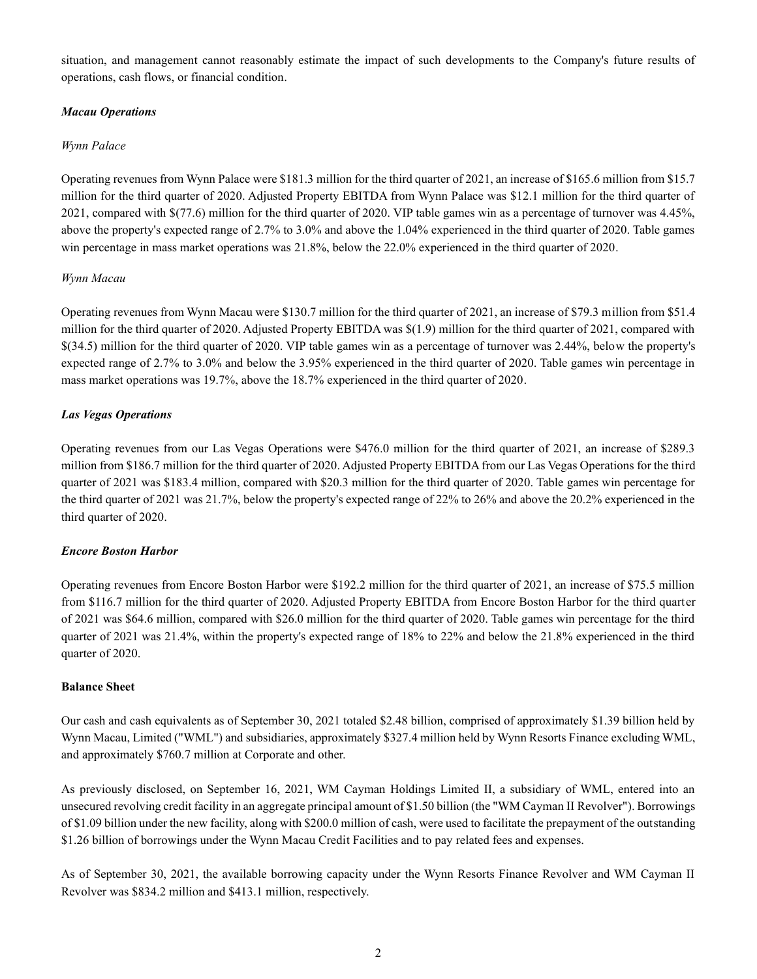situation, and management cannot reasonably estimate the impact of such developments to the Company's future results of operations, cash flows, or financial condition.

### *Macau Operations*

### *Wynn Palace*

Operating revenues from Wynn Palace were \$181.3 million for the third quarter of 2021, an increase of \$165.6 million from \$15.7 million for the third quarter of 2020. Adjusted Property EBITDA from Wynn Palace was \$12.1 million for the third quarter of 2021, compared with \$(77.6) million for the third quarter of 2020. VIP table games win as a percentage of turnover was 4.45%, above the property's expected range of 2.7% to 3.0% and above the 1.04% experienced in the third quarter of 2020. Table games win percentage in mass market operations was 21.8%, below the 22.0% experienced in the third quarter of 2020.

### *Wynn Macau*

Operating revenues from Wynn Macau were \$130.7 million for the third quarter of 2021, an increase of \$79.3 million from \$51.4 million for the third quarter of 2020. Adjusted Property EBITDA was \$(1.9) million for the third quarter of 2021, compared with \$(34.5) million for the third quarter of 2020. VIP table games win as a percentage of turnover was 2.44%, below the property's expected range of 2.7% to 3.0% and below the 3.95% experienced in the third quarter of 2020. Table games win percentage in mass market operations was 19.7%, above the 18.7% experienced in the third quarter of 2020.

### *Las Vegas Operations*

Operating revenues from our Las Vegas Operations were \$476.0 million for the third quarter of 2021, an increase of \$289.3 million from \$186.7 million for the third quarter of 2020. Adjusted Property EBITDA from our Las Vegas Operations for the third quarter of 2021 was \$183.4 million, compared with \$20.3 million for the third quarter of 2020. Table games win percentage for the third quarter of 2021 was 21.7%, below the property's expected range of 22% to 26% and above the 20.2% experienced in the third quarter of 2020.

### *Encore Boston Harbor*

Operating revenues from Encore Boston Harbor were \$192.2 million for the third quarter of 2021, an increase of \$75.5 million from \$116.7 million for the third quarter of 2020. Adjusted Property EBITDA from Encore Boston Harbor for the third quarter of 2021 was \$64.6 million, compared with \$26.0 million for the third quarter of 2020. Table games win percentage for the third quarter of 2021 was 21.4%, within the property's expected range of 18% to 22% and below the 21.8% experienced in the third quarter of 2020.

### **Balance Sheet**

Our cash and cash equivalents as of September 30, 2021 totaled \$2.48 billion, comprised of approximately \$1.39 billion held by Wynn Macau, Limited ("WML") and subsidiaries, approximately \$327.4 million held by Wynn Resorts Finance excluding WML, and approximately \$760.7 million at Corporate and other.

As previously disclosed, on September 16, 2021, WM Cayman Holdings Limited II, a subsidiary of WML, entered into an unsecured revolving credit facility in an aggregate principal amount of \$1.50 billion (the "WM Cayman II Revolver"). Borrowings of \$1.09 billion under the new facility, along with \$200.0 million of cash, were used to facilitate the prepayment of the outstanding \$1.26 billion of borrowings under the Wynn Macau Credit Facilities and to pay related fees and expenses.

As of September 30, 2021, the available borrowing capacity under the Wynn Resorts Finance Revolver and WM Cayman II Revolver was \$834.2 million and \$413.1 million, respectively.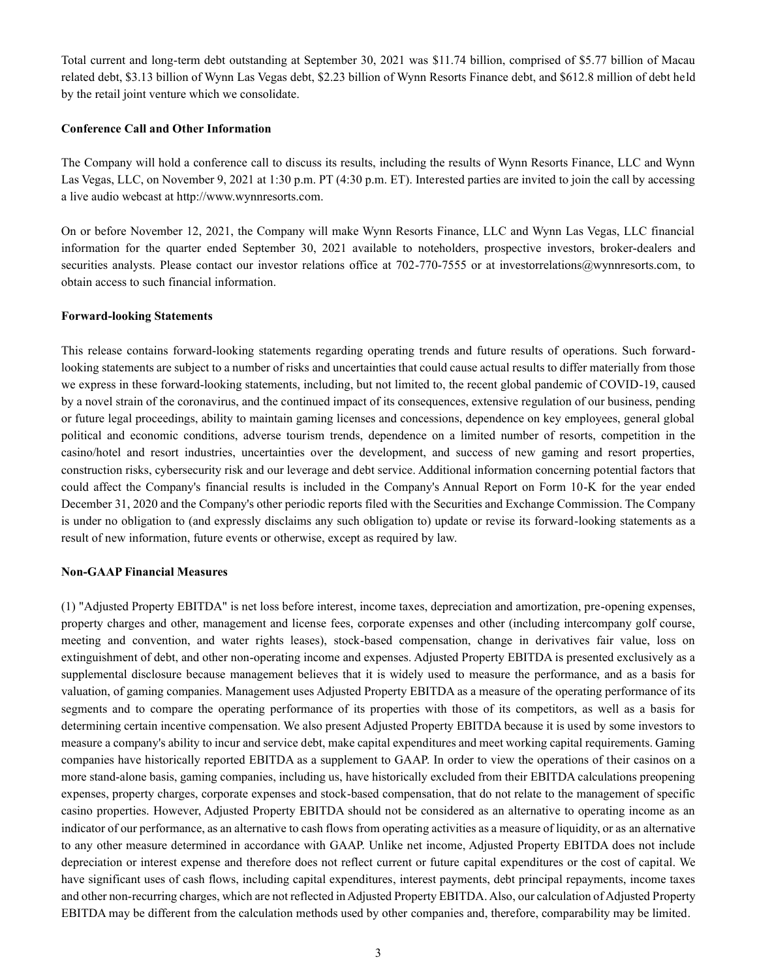Total current and long-term debt outstanding at September 30, 2021 was \$11.74 billion, comprised of \$5.77 billion of Macau related debt, \$3.13 billion of Wynn Las Vegas debt, \$2.23 billion of Wynn Resorts Finance debt, and \$612.8 million of debt held by the retail joint venture which we consolidate.

#### **Conference Call and Other Information**

The Company will hold a conference call to discuss its results, including the results of Wynn Resorts Finance, LLC and Wynn Las Vegas, LLC, on November 9, 2021 at 1:30 p.m. PT (4:30 p.m. ET). Interested parties are invited to join the call by accessing a live audio webcast at http://www.wynnresorts.com.

On or before November 12, 2021, the Company will make Wynn Resorts Finance, LLC and Wynn Las Vegas, LLC financial information for the quarter ended September 30, 2021 available to noteholders, prospective investors, broker-dealers and securities analysts. Please contact our investor relations office at 702-770-7555 or at investorrelations@wynnresorts.com, to obtain access to such financial information.

#### **Forward-looking Statements**

This release contains forward-looking statements regarding operating trends and future results of operations. Such forwardlooking statements are subject to a number of risks and uncertainties that could cause actual results to differ materially from those we express in these forward-looking statements, including, but not limited to, the recent global pandemic of COVID-19, caused by a novel strain of the coronavirus, and the continued impact of its consequences, extensive regulation of our business, pending or future legal proceedings, ability to maintain gaming licenses and concessions, dependence on key employees, general global political and economic conditions, adverse tourism trends, dependence on a limited number of resorts, competition in the casino/hotel and resort industries, uncertainties over the development, and success of new gaming and resort properties, construction risks, cybersecurity risk and our leverage and debt service. Additional information concerning potential factors that could affect the Company's financial results is included in the Company's Annual Report on Form 10-K for the year ended December 31, 2020 and the Company's other periodic reports filed with the Securities and Exchange Commission. The Company is under no obligation to (and expressly disclaims any such obligation to) update or revise its forward-looking statements as a result of new information, future events or otherwise, except as required by law.

#### **Non-GAAP Financial Measures**

(1) "Adjusted Property EBITDA" is net loss before interest, income taxes, depreciation and amortization, pre-opening expenses, property charges and other, management and license fees, corporate expenses and other (including intercompany golf course, meeting and convention, and water rights leases), stock-based compensation, change in derivatives fair value, loss on extinguishment of debt, and other non-operating income and expenses. Adjusted Property EBITDA is presented exclusively as a supplemental disclosure because management believes that it is widely used to measure the performance, and as a basis for valuation, of gaming companies. Management uses Adjusted Property EBITDA as a measure of the operating performance of its segments and to compare the operating performance of its properties with those of its competitors, as well as a basis for determining certain incentive compensation. We also present Adjusted Property EBITDA because it is used by some investors to measure a company's ability to incur and service debt, make capital expenditures and meet working capital requirements. Gaming companies have historically reported EBITDA as a supplement to GAAP. In order to view the operations of their casinos on a more stand-alone basis, gaming companies, including us, have historically excluded from their EBITDA calculations preopening expenses, property charges, corporate expenses and stock-based compensation, that do not relate to the management of specific casino properties. However, Adjusted Property EBITDA should not be considered as an alternative to operating income as an indicator of our performance, as an alternative to cash flows from operating activities as a measure of liquidity, or as an alternative to any other measure determined in accordance with GAAP. Unlike net income, Adjusted Property EBITDA does not include depreciation or interest expense and therefore does not reflect current or future capital expenditures or the cost of capital. We have significant uses of cash flows, including capital expenditures, interest payments, debt principal repayments, income taxes and other non-recurring charges, which are not reflected in Adjusted Property EBITDA. Also, our calculation of Adjusted Property EBITDA may be different from the calculation methods used by other companies and, therefore, comparability may be limited.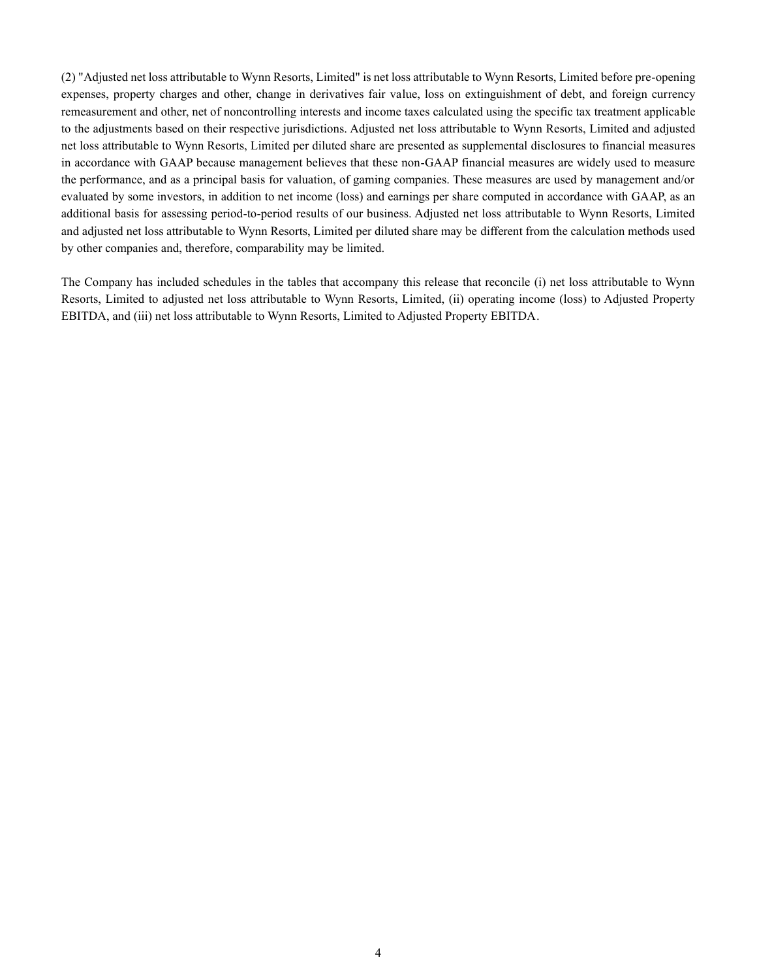(2) "Adjusted net loss attributable to Wynn Resorts, Limited" is net loss attributable to Wynn Resorts, Limited before pre-opening expenses, property charges and other, change in derivatives fair value, loss on extinguishment of debt, and foreign currency remeasurement and other, net of noncontrolling interests and income taxes calculated using the specific tax treatment applicable to the adjustments based on their respective jurisdictions. Adjusted net loss attributable to Wynn Resorts, Limited and adjusted net loss attributable to Wynn Resorts, Limited per diluted share are presented as supplemental disclosures to financial measures in accordance with GAAP because management believes that these non-GAAP financial measures are widely used to measure the performance, and as a principal basis for valuation, of gaming companies. These measures are used by management and/or evaluated by some investors, in addition to net income (loss) and earnings per share computed in accordance with GAAP, as an additional basis for assessing period-to-period results of our business. Adjusted net loss attributable to Wynn Resorts, Limited and adjusted net loss attributable to Wynn Resorts, Limited per diluted share may be different from the calculation methods used by other companies and, therefore, comparability may be limited.

The Company has included schedules in the tables that accompany this release that reconcile (i) net loss attributable to Wynn Resorts, Limited to adjusted net loss attributable to Wynn Resorts, Limited, (ii) operating income (loss) to Adjusted Property EBITDA, and (iii) net loss attributable to Wynn Resorts, Limited to Adjusted Property EBITDA.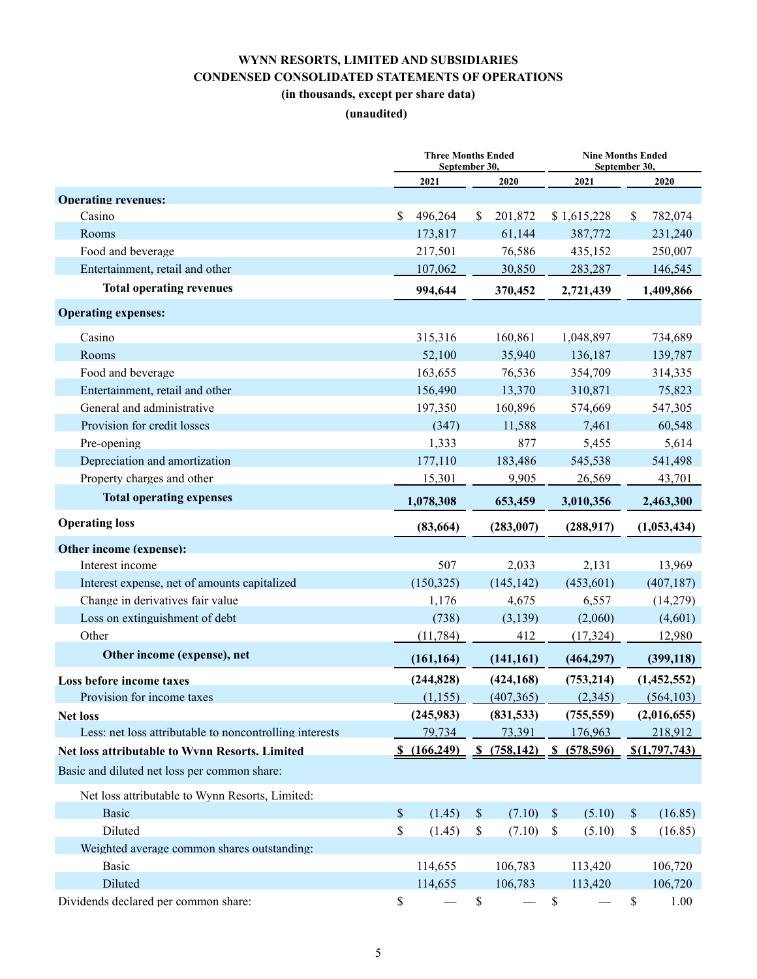# **WYNN RESORTS, LIMITED AND SUBSIDIARIES CONDENSED CONSOLIDATED STATEMENTS OF OPERATIONS**

# **(in thousands, except per share data)**

# **(unaudited)**

|                                                         |             |             | <b>Three Months Ended</b><br>September 30 |                           | <b>Nine Months Ended</b><br>September 30. |                           |               |
|---------------------------------------------------------|-------------|-------------|-------------------------------------------|---------------------------|-------------------------------------------|---------------------------|---------------|
|                                                         |             | 2021        | 2020                                      |                           | 2021                                      |                           | 2020          |
| <b>Operating revenues:</b>                              |             |             |                                           |                           |                                           |                           |               |
| Casino                                                  | S.          | 496,264     | 201,872<br><sup>\$</sup>                  |                           | \$1,615,228                               | \$                        | 782,074       |
| Rooms                                                   |             | 173,817     | 61,144                                    |                           | 387,772                                   |                           | 231,240       |
| Food and beverage                                       |             | 217,501     | 76,586                                    |                           | 435,152                                   |                           | 250,007       |
| Entertainment, retail and other                         |             | 107,062     | 30,850                                    |                           | 283,287                                   |                           | 146,545       |
| <b>Total operating revenues</b>                         |             | 994,644     | 370,452                                   |                           | 2,721,439                                 |                           | 1,409,866     |
| <b>Operating expenses:</b>                              |             |             |                                           |                           |                                           |                           |               |
| Casino                                                  |             | 315,316     | 160,861                                   |                           | 1,048,897                                 |                           | 734,689       |
| Rooms                                                   |             | 52,100      | 35,940                                    |                           | 136,187                                   |                           | 139,787       |
| Food and beverage                                       |             | 163,655     | 76,536                                    |                           | 354,709                                   |                           | 314,335       |
| Entertainment, retail and other                         |             | 156,490     | 13,370                                    |                           | 310,871                                   |                           | 75,823        |
| General and administrative                              |             | 197,350     | 160,896                                   |                           | 574,669                                   |                           | 547,305       |
| Provision for credit losses                             |             | (347)       | 11,588                                    |                           | 7,461                                     |                           | 60,548        |
| Pre-opening                                             |             | 1,333       | 877                                       |                           | 5,455                                     |                           | 5,614         |
| Depreciation and amortization                           |             | 177,110     | 183,486                                   |                           | 545,538                                   |                           | 541,498       |
| Property charges and other                              |             | 15,301      | 9,905                                     |                           | 26,569                                    |                           | 43,701        |
| <b>Total operating expenses</b>                         |             | 1,078,308   | 653,459                                   |                           | 3,010,356                                 |                           | 2,463,300     |
| <b>Operating loss</b>                                   |             | (83, 664)   | (283,007)                                 |                           | (288, 917)                                |                           | (1,053,434)   |
| Other income (expense):                                 |             |             |                                           |                           |                                           |                           |               |
| Interest income                                         |             | 507         | 2,033                                     |                           | 2,131                                     |                           | 13,969        |
| Interest expense, net of amounts capitalized            |             | (150, 325)  | (145, 142)                                |                           | (453,601)                                 |                           | (407, 187)    |
| Change in derivatives fair value                        |             | 1,176       | 4,675                                     |                           | 6,557                                     |                           | (14,279)      |
| Loss on extinguishment of debt                          |             | (738)       | (3,139)                                   |                           | (2,060)                                   |                           | (4,601)       |
| Other                                                   |             | (11, 784)   | 412                                       |                           | (17, 324)                                 |                           | 12,980        |
| Other income (expense), net                             |             | (161, 164)  | (141, 161)                                |                           | (464, 297)                                |                           | (399, 118)    |
| Loss before income taxes                                |             | (244, 828)  | (424, 168)                                |                           | (753, 214)                                |                           | (1,452,552)   |
| Provision for income taxes                              |             | (1,155)     | (407, 365)                                |                           | (2,345)                                   |                           | (564, 103)    |
| <b>Net loss</b>                                         |             | (245,983)   | (831, 533)                                |                           | (755, 559)                                |                           | (2,016,655)   |
| Less: net loss attributable to noncontrolling interests |             | 79,734      | 73,391                                    |                           | 176,963                                   |                           | 218,912       |
| Net loss attributable to Wynn Resorts, Limited          |             | \$(166,249) |                                           |                           | $$$ (758,142) $$$ (578,596)               |                           | \$(1,797,743) |
| Basic and diluted net loss per common share:            |             |             |                                           |                           |                                           |                           |               |
| Net loss attributable to Wynn Resorts, Limited:         |             |             |                                           |                           |                                           |                           |               |
| <b>Basic</b>                                            | $\mathbb S$ | (1.45)      | $\mathcal{S}$<br>(7.10)                   | $\sqrt$                   | (5.10)                                    | $\boldsymbol{\mathsf{S}}$ | (16.85)       |
| Diluted                                                 | \$          | (1.45)      | (7.10)<br>\$                              | $\boldsymbol{\mathsf{S}}$ | (5.10)                                    | \$                        | (16.85)       |
| Weighted average common shares outstanding:             |             |             |                                           |                           |                                           |                           |               |
| Basic                                                   |             | 114,655     | 106,783                                   |                           | 113,420                                   |                           | 106,720       |
| Diluted                                                 |             | 114,655     | 106,783                                   |                           | 113,420                                   |                           | 106,720       |
| Dividends declared per common share:                    | \$          |             | $\mathbb S$                               | \$                        |                                           | \$                        | 1.00          |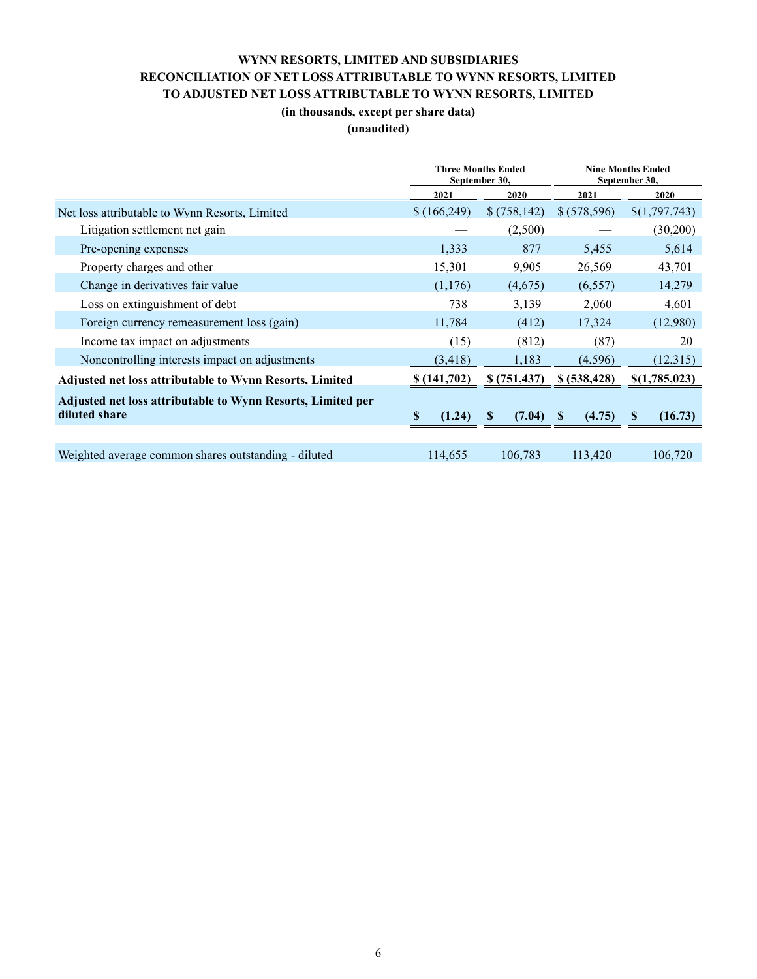# **WYNN RESORTS, LIMITED AND SUBSIDIARIES RECONCILIATION OF NET LOSS ATTRIBUTABLE TO WYNN RESORTS, LIMITED TO ADJUSTED NET LOSS ATTRIBUTABLE TO WYNN RESORTS, LIMITED**

# **(in thousands, except per share data)**

**(unaudited)**

|                                                                              | September 30, | <b>Three Months Ended</b> |                        | <b>Nine Months Ended</b><br>September 30, |
|------------------------------------------------------------------------------|---------------|---------------------------|------------------------|-------------------------------------------|
|                                                                              | 2021          | 2020                      | 2021                   | 2020                                      |
| Net loss attributable to Wynn Resorts, Limited                               | \$(166,249)   | \$(758, 142)              | \$ (578,596)           | \$(1,797,743)                             |
| Litigation settlement net gain                                               |               | (2,500)                   |                        | (30,200)                                  |
| Pre-opening expenses                                                         | 1,333         | 877                       | 5,455                  | 5,614                                     |
| Property charges and other                                                   | 15,301        | 9,905                     | 26,569                 | 43,701                                    |
| Change in derivatives fair value                                             | (1,176)       | (4,675)                   | (6,557)                | 14,279                                    |
| Loss on extinguishment of debt                                               | 738           | 3,139                     | 2,060                  | 4,601                                     |
| Foreign currency remeasurement loss (gain)                                   | 11,784        | (412)                     | 17,324                 | (12,980)                                  |
| Income tax impact on adjustments                                             | (15)          | (812)                     | (87)                   | 20                                        |
| Noncontrolling interests impact on adjustments                               | (3,418)       | 1,183                     | (4,596)                | (12,315)                                  |
| <b>Adjusted net loss attributable to Wynn Resorts, Limited</b>               | \$(141,702)   | \$(751, 437)              | \$ (538, 428)          | \$(1,785,023)                             |
| Adjusted net loss attributable to Wynn Resorts, Limited per<br>diluted share | (1.24)        | <sup>S</sup><br>(7.04)    | (4.75)<br><sup>S</sup> | (16.73)<br>S                              |
|                                                                              |               |                           |                        |                                           |
| Weighted average common shares outstanding - diluted                         | 114,655       | 106,783                   | 113,420                | 106,720                                   |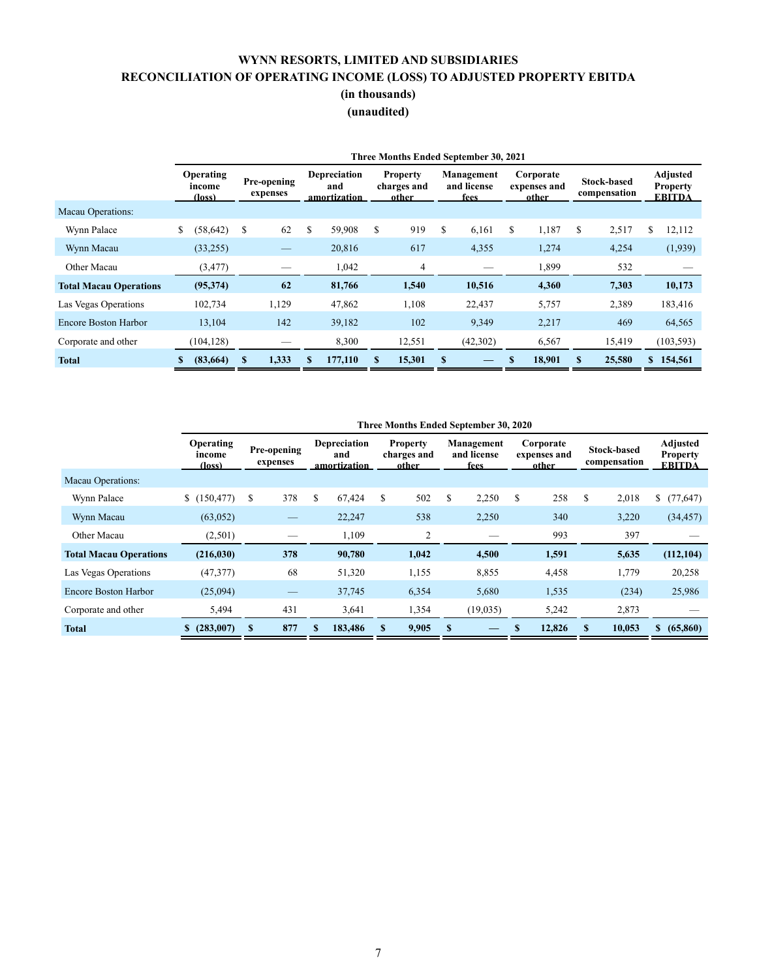# **WYNN RESORTS, LIMITED AND SUBSIDIARIES RECONCILIATION OF OPERATING INCOME (LOSS) TO ADJUSTED PROPERTY EBITDA**

# **(in thousands)**

### **(unaudited)**

|                               |    | Three Months Ended September 30, 2021 |   |                         |   |                                            |   |                                         |   |                                   |    |                                    |   |                                    |    |                                              |
|-------------------------------|----|---------------------------------------|---|-------------------------|---|--------------------------------------------|---|-----------------------------------------|---|-----------------------------------|----|------------------------------------|---|------------------------------------|----|----------------------------------------------|
|                               |    | Operating<br>income<br>(loss)         |   | Pre-opening<br>expenses |   | <b>Depreciation</b><br>and<br>amortization |   | <b>Property</b><br>charges and<br>other |   | Management<br>and license<br>fees |    | Corporate<br>expenses and<br>other |   | <b>Stock-based</b><br>compensation |    | Adjusted<br><b>Property</b><br><b>EBITDA</b> |
| Macau Operations:             |    |                                       |   |                         |   |                                            |   |                                         |   |                                   |    |                                    |   |                                    |    |                                              |
| Wynn Palace                   | \$ | (58, 642)                             | S | 62                      | S | 59,908                                     | S | 919                                     | S | 6,161                             | S. | 1,187                              | S | 2,517                              | \$ | 12,112                                       |
| Wynn Macau                    |    | (33,255)                              |   |                         |   | 20,816                                     |   | 617                                     |   | 4,355                             |    | 1,274                              |   | 4,254                              |    | (1,939)                                      |
| Other Macau                   |    | (3, 477)                              |   |                         |   | 1,042                                      |   | 4                                       |   |                                   |    | 1,899                              |   | 532                                |    |                                              |
| <b>Total Macau Operations</b> |    | (95,374)                              |   | 62                      |   | 81,766                                     |   | 1,540                                   |   | 10,516                            |    | 4,360                              |   | 7,303                              |    | 10,173                                       |
| Las Vegas Operations          |    | 102,734                               |   | 1,129                   |   | 47,862                                     |   | 1,108                                   |   | 22,437                            |    | 5,757                              |   | 2,389                              |    | 183,416                                      |
| <b>Encore Boston Harbor</b>   |    | 13,104                                |   | 142                     |   | 39,182                                     |   | 102                                     |   | 9,349                             |    | 2,217                              |   | 469                                |    | 64,565                                       |
| Corporate and other           |    | (104, 128)                            |   |                         |   | 8,300                                      |   | 12,551                                  |   | (42,302)                          |    | 6,567                              |   | 15,419                             |    | (103, 593)                                   |
| <b>Total</b>                  | s  | (83,664)                              |   | 1,333                   |   | 177,110                                    |   | 15,301                                  |   |                                   |    | 18,901                             | S | 25,580                             |    | \$154,561                                    |

|                               | Three Months Ended September 30, 2020 |   |                         |    |                                            |   |                                         |    |                                   |     |                                    |   |                                    |                                                     |
|-------------------------------|---------------------------------------|---|-------------------------|----|--------------------------------------------|---|-----------------------------------------|----|-----------------------------------|-----|------------------------------------|---|------------------------------------|-----------------------------------------------------|
|                               | <b>Operating</b><br>income<br>(loss)  |   | Pre-opening<br>expenses |    | <b>Depreciation</b><br>and<br>amortization |   | <b>Property</b><br>charges and<br>other |    | Management<br>and license<br>fees |     | Corporate<br>expenses and<br>other |   | <b>Stock-based</b><br>compensation | <b>Adjusted</b><br><b>Property</b><br><b>EBITDA</b> |
| Macau Operations:             |                                       |   |                         |    |                                            |   |                                         |    |                                   |     |                                    |   |                                    |                                                     |
| Wynn Palace                   | \$(150, 477)                          | S | 378                     | S  | 67,424                                     | S | 502                                     | \$ | 2,250                             | \$. | 258                                | S | 2,018                              | (77, 647)<br>\$                                     |
| Wynn Macau                    | (63,052)                              |   |                         |    | 22,247                                     |   | 538                                     |    | 2,250                             |     | 340                                |   | 3,220                              | (34, 457)                                           |
| Other Macau                   | (2,501)                               |   |                         |    | 1,109                                      |   | 2                                       |    |                                   |     | 993                                |   | 397                                |                                                     |
| <b>Total Macau Operations</b> | (216,030)                             |   | 378                     |    | 90,780                                     |   | 1,042                                   |    | 4,500                             |     | 1,591                              |   | 5,635                              | (112, 104)                                          |
| Las Vegas Operations          | (47, 377)                             |   | 68                      |    | 51,320                                     |   | 1,155                                   |    | 8,855                             |     | 4,458                              |   | 1,779                              | 20,258                                              |
| Encore Boston Harbor          | (25,094)                              |   |                         |    | 37,745                                     |   | 6,354                                   |    | 5,680                             |     | 1,535                              |   | (234)                              | 25,986                                              |
| Corporate and other           | 5,494                                 |   | 431                     |    | 3,641                                      |   | 1,354                                   |    | (19,035)                          |     | 5,242                              |   | 2,873                              |                                                     |
| <b>Total</b>                  | (283,007)                             | S | 877                     | \$ | 183,486                                    |   | 9,905                                   |    |                                   |     | 12,826                             |   | 10,053                             | \$<br>(65, 860)                                     |

7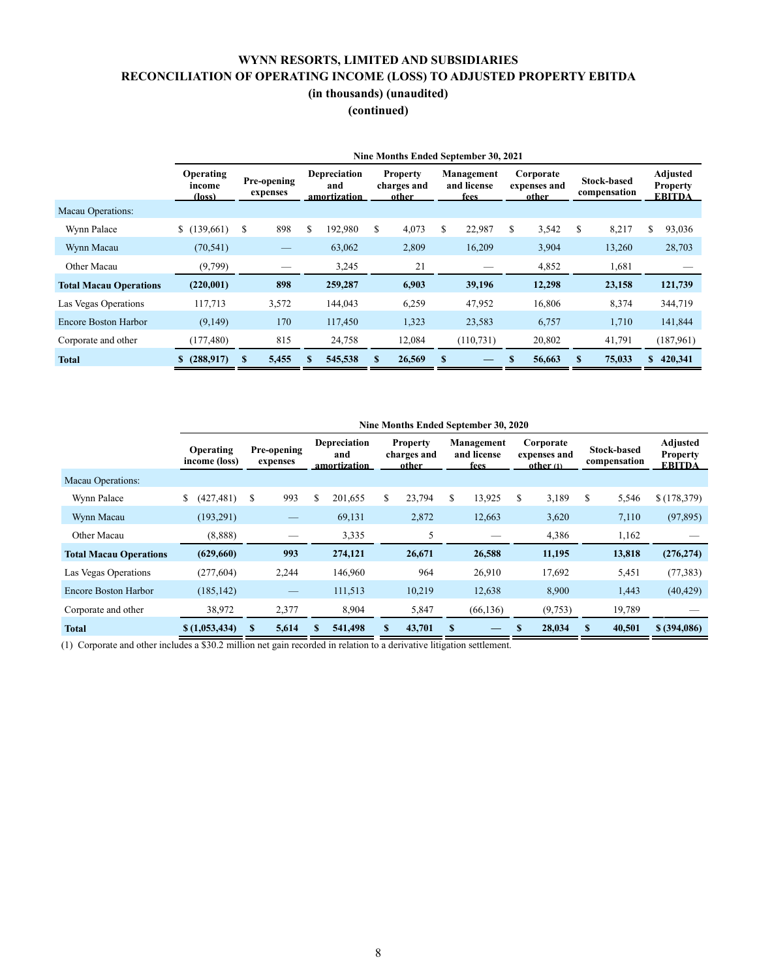# **WYNN RESORTS, LIMITED AND SUBSIDIARIES RECONCILIATION OF OPERATING INCOME (LOSS) TO ADJUSTED PROPERTY EBITDA**

# **(in thousands) (unaudited)**

# **(continued)**

|                               |                               |                         |   |                                            |                                         |     | Nine Months Ended September 30, 2021 |   |                                    |   |                                    |   |                                              |
|-------------------------------|-------------------------------|-------------------------|---|--------------------------------------------|-----------------------------------------|-----|--------------------------------------|---|------------------------------------|---|------------------------------------|---|----------------------------------------------|
|                               | Operating<br>income<br>(loss) | Pre-opening<br>expenses |   | <b>Depreciation</b><br>and<br>amortization | <b>Property</b><br>charges and<br>other |     | Management<br>and license<br>fees    |   | Corporate<br>expenses and<br>other |   | <b>Stock-based</b><br>compensation |   | Adjusted<br><b>Property</b><br><b>EBITDA</b> |
| <b>Macau Operations:</b>      |                               |                         |   |                                            |                                         |     |                                      |   |                                    |   |                                    |   |                                              |
| Wynn Palace                   | \$(139,661)                   | 898<br>S                | S | 192,980                                    | \$<br>4,073                             | \$. | 22,987                               | S | 3,542                              | S | 8,217                              | S | 93,036                                       |
| Wynn Macau                    | (70, 541)                     |                         |   | 63,062                                     | 2,809                                   |     | 16,209                               |   | 3,904                              |   | 13,260                             |   | 28,703                                       |
| Other Macau                   | (9,799)                       |                         |   | 3,245                                      | 21                                      |     |                                      |   | 4,852                              |   | 1,681                              |   |                                              |
| <b>Total Macau Operations</b> | (220,001)                     | 898                     |   | 259,287                                    | 6,903                                   |     | 39,196                               |   | 12,298                             |   | 23,158                             |   | 121,739                                      |
| Las Vegas Operations          | 117,713                       | 3,572                   |   | 144,043                                    | 6,259                                   |     | 47,952                               |   | 16,806                             |   | 8,374                              |   | 344,719                                      |
| <b>Encore Boston Harbor</b>   | (9,149)                       | 170                     |   | 117,450                                    | 1,323                                   |     | 23,583                               |   | 6,757                              |   | 1,710                              |   | 141,844                                      |
| Corporate and other           | (177, 480)                    | 815                     |   | 24,758                                     | 12,084                                  |     | (110, 731)                           |   | 20,802                             |   | 41,791                             |   | (187,961)                                    |
| <b>Total</b>                  | (288,917)                     | 5,455                   |   | 545,538                                    | 26,569                                  |     |                                      |   | 56,663                             |   | 75,033                             |   | 420,341                                      |

|                               | Nine Months Ended September 30, 2020 |                         |  |                                            |    |                                         |    |                                   |   |                                          |    |                                    |                                              |  |
|-------------------------------|--------------------------------------|-------------------------|--|--------------------------------------------|----|-----------------------------------------|----|-----------------------------------|---|------------------------------------------|----|------------------------------------|----------------------------------------------|--|
|                               | Operating<br>income (loss)           | Pre-opening<br>expenses |  | <b>Depreciation</b><br>and<br>amortization |    | <b>Property</b><br>charges and<br>other |    | Management<br>and license<br>fees |   | Corporate<br>expenses and<br>other $(1)$ |    | <b>Stock-based</b><br>compensation | Adjusted<br><b>Property</b><br><b>EBITDA</b> |  |
| Macau Operations:             |                                      |                         |  |                                            |    |                                         |    |                                   |   |                                          |    |                                    |                                              |  |
| Wynn Palace                   | (427, 481)<br>\$                     | 993<br>\$               |  | S<br>201,655                               | \$ | 23,794                                  | \$ | 13,925                            | S | 3,189                                    | S. | 5,546                              | \$(178,379)                                  |  |
| Wynn Macau                    | (193, 291)                           |                         |  | 69,131                                     |    | 2,872                                   |    | 12,663                            |   | 3,620                                    |    | 7,110                              | (97, 895)                                    |  |
| Other Macau                   | (8,888)                              |                         |  | 3,335                                      |    | 5                                       |    |                                   |   | 4,386                                    |    | 1,162                              |                                              |  |
| <b>Total Macau Operations</b> | (629, 660)                           | 993                     |  | 274,121                                    |    | 26,671                                  |    | 26,588                            |   | 11,195                                   |    | 13,818                             | (276, 274)                                   |  |
| Las Vegas Operations          | (277, 604)                           | 2,244                   |  | 146,960                                    |    | 964                                     |    | 26,910                            |   | 17,692                                   |    | 5,451                              | (77, 383)                                    |  |
| <b>Encore Boston Harbor</b>   | (185, 142)                           |                         |  | 111,513                                    |    | 10,219                                  |    | 12,638                            |   | 8,900                                    |    | 1,443                              | (40, 429)                                    |  |
| Corporate and other           | 38,972                               | 2,377                   |  | 8,904                                      |    | 5,847                                   |    | (66, 136)                         |   | (9,753)                                  |    | 19,789                             |                                              |  |
| <b>Total</b>                  | \$(1,053,434)                        | 5,614<br>\$             |  | 541,498                                    |    | 43,701                                  |    |                                   |   | 28,034                                   |    | 40,501                             | \$ (394,086)                                 |  |

(1) Corporate and other includes a \$30.2 million net gain recorded in relation to a derivative litigation settlement.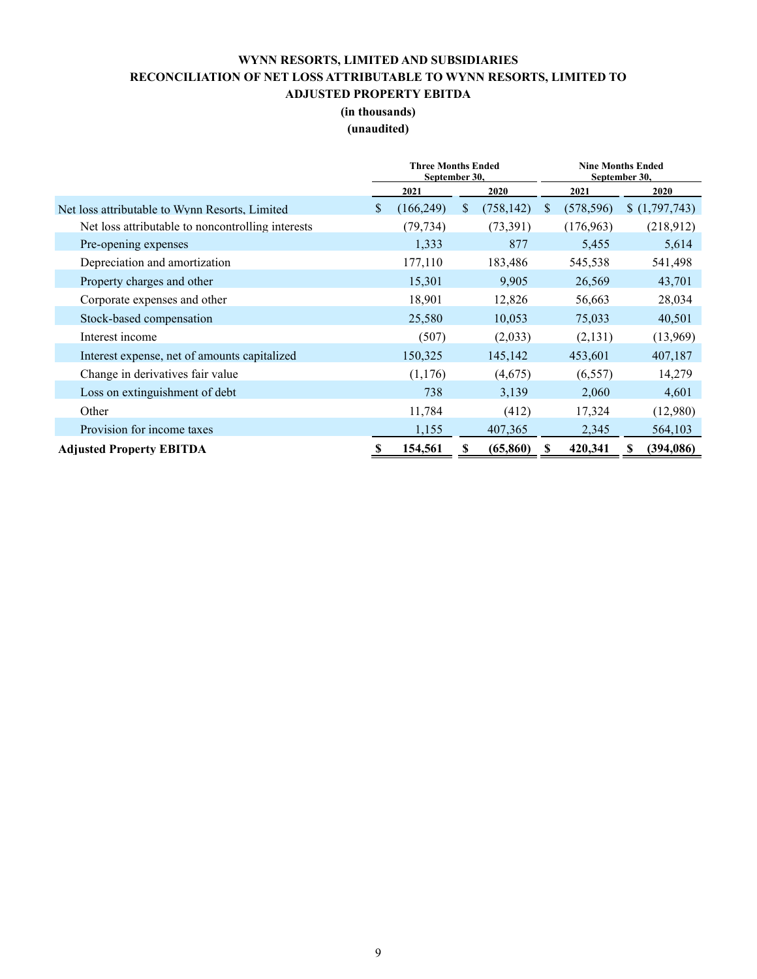## **WYNN RESORTS, LIMITED AND SUBSIDIARIES RECONCILIATION OF NET LOSS ATTRIBUTABLE TO WYNN RESORTS, LIMITED TO ADJUSTED PROPERTY EBITDA**

# **(in thousands)**

# **(unaudited)**

|                                                   |   | <b>Three Months Ended</b><br>September 30, |     |            |    | <b>Nine Months Ended</b><br>September 30, |     |             |  |
|---------------------------------------------------|---|--------------------------------------------|-----|------------|----|-------------------------------------------|-----|-------------|--|
|                                                   |   | 2021                                       |     | 2020       |    | 2021                                      |     | 2020        |  |
| Net loss attributable to Wynn Resorts. Limited    | S | (166, 249)                                 | \$. | (758, 142) | S. | (578, 596)                                |     | (1,797,743) |  |
| Net loss attributable to noncontrolling interests |   | (79, 734)                                  |     | (73,391)   |    | (176,963)                                 |     | (218,912)   |  |
| Pre-opening expenses                              |   | 1,333                                      |     | 877        |    | 5,455                                     |     | 5,614       |  |
| Depreciation and amortization                     |   | 177,110                                    |     | 183,486    |    | 545,538                                   |     | 541,498     |  |
| Property charges and other                        |   | 15,301                                     |     | 9,905      |    | 26,569                                    |     | 43,701      |  |
| Corporate expenses and other                      |   | 18,901                                     |     | 12,826     |    | 56,663                                    |     | 28,034      |  |
| Stock-based compensation                          |   | 25,580                                     |     | 10,053     |    | 75,033                                    |     | 40,501      |  |
| Interest income                                   |   | (507)                                      |     | (2,033)    |    | (2,131)                                   |     | (13,969)    |  |
| Interest expense, net of amounts capitalized      |   | 150,325                                    |     | 145,142    |    | 453,601                                   |     | 407,187     |  |
| Change in derivatives fair value                  |   | (1,176)                                    |     | (4,675)    |    | (6, 557)                                  |     | 14,279      |  |
| Loss on extinguishment of debt                    |   | 738                                        |     | 3,139      |    | 2,060                                     |     | 4,601       |  |
| Other                                             |   | 11,784                                     |     | (412)      |    | 17,324                                    |     | (12,980)    |  |
| Provision for income taxes                        |   | 1,155                                      |     | 407, 365   |    | 2,345                                     |     | 564,103     |  |
| <b>Adjusted Property EBITDA</b>                   | S | 154,561                                    | S   | (65, 860)  | S  | 420,341                                   | \$. | (394,086)   |  |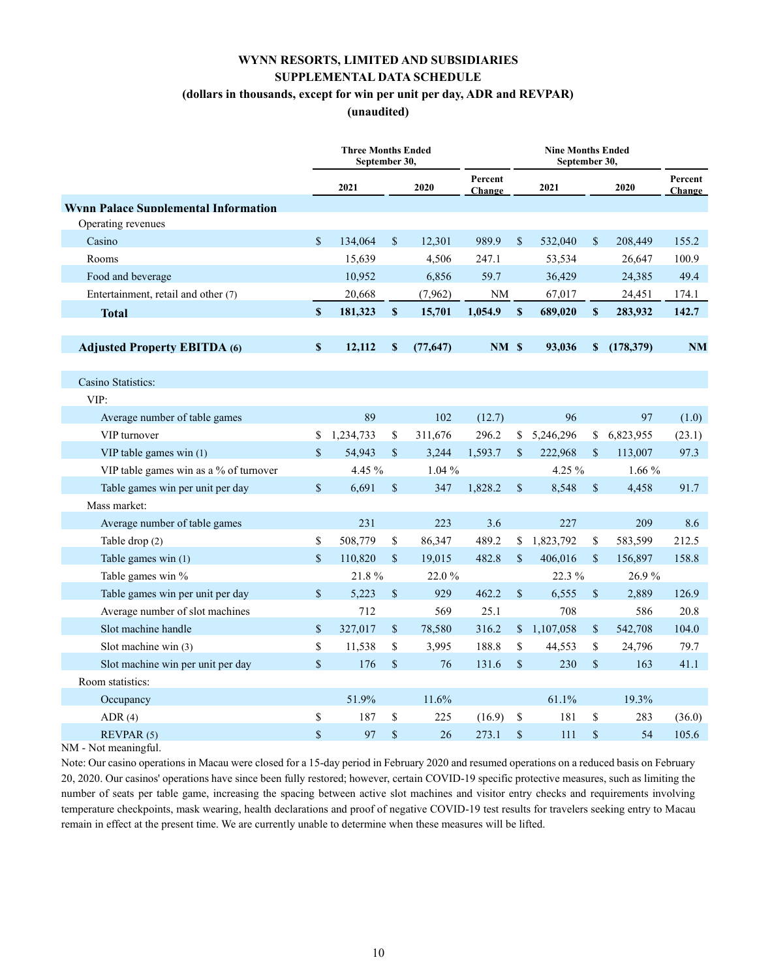#### **(dollars in thousands, except for win per unit per day, ADR and REVPAR)**

**(unaudited)**

|                                             |                    |           |                           | <b>Nine Months Ended</b><br>September 30, |                   |              |             |              |            |                   |
|---------------------------------------------|--------------------|-----------|---------------------------|-------------------------------------------|-------------------|--------------|-------------|--------------|------------|-------------------|
|                                             |                    | 2021      |                           | 2020                                      | Percent<br>Change |              | 2021        |              | 2020       | Percent<br>Change |
| <b>Wynn Palace Supplemental Information</b> |                    |           |                           |                                           |                   |              |             |              |            |                   |
| Operating revenues                          |                    |           |                           |                                           |                   |              |             |              |            |                   |
| Casino                                      | $\mathbf S$        | 134,064   | \$                        | 12,301                                    | 989.9             | $\mathbb{S}$ | 532,040     | \$           | 208,449    | 155.2             |
| Rooms                                       |                    | 15.639    |                           | 4,506                                     | 247.1             |              | 53,534      |              | 26,647     | 100.9             |
| Food and beverage                           |                    | 10,952    |                           | 6,856                                     | 59.7              |              | 36,429      |              | 24,385     | 49.4              |
| Entertainment, retail and other (7)         |                    | 20,668    |                           | (7,962)                                   | <b>NM</b>         |              | 67,017      |              | 24,451     | 174.1             |
| <b>Total</b>                                | $\mathbf{s}$       | 181,323   | $\mathbf S$               | 15,701                                    | 1,054.9           | $\mathbf{s}$ | 689,020     | $\mathbf S$  | 283,932    | 142.7             |
|                                             |                    |           |                           |                                           |                   |              |             |              |            |                   |
| <b>Adjusted Property EBITDA (6)</b>         | $\mathbf{s}$       | 12,112    | \$                        | (77, 647)                                 | NMS               |              | 93,036      | \$           | (178, 379) | <b>NM</b>         |
|                                             |                    |           |                           |                                           |                   |              |             |              |            |                   |
| Casino Statistics:                          |                    |           |                           |                                           |                   |              |             |              |            |                   |
| VIP:                                        |                    |           |                           |                                           |                   |              |             |              |            |                   |
| Average number of table games               |                    | 89        |                           | 102                                       | (12.7)            |              | 96          |              | 97         | (1.0)             |
| VIP turnover                                | \$                 | 1,234,733 | \$                        | 311,676                                   | 296.2             | \$           | 5,246,296   | \$           | 6,823,955  | (23.1)            |
| VIP table games win (1)                     | $\mathbf{\hat{S}}$ | 54,943    | $\mathbf S$               | 3,244                                     | 1,593.7           | $\mathbf S$  | 222,968     | $\mathbf S$  | 113,007    | 97.3              |
| VIP table games win as a % of turnover      |                    | 4.45 %    |                           | 1.04%                                     |                   |              | 4.25 %      |              | $1.66\%$   |                   |
| Table games win per unit per day            | $\mathbb{S}$       | 6,691     | $\boldsymbol{\mathsf{S}}$ | 347                                       | 1,828.2           | $\mathbb{S}$ | 8,548       | \$           | 4,458      | 91.7              |
| Mass market:                                |                    |           |                           |                                           |                   |              |             |              |            |                   |
| Average number of table games               |                    | 231       |                           | 223                                       | 3.6               |              | 227         |              | 209        | 8.6               |
| Table drop (2)                              | \$                 | 508,779   | \$                        | 86,347                                    | 489.2             |              | \$1,823,792 | \$           | 583,599    | 212.5             |
| Table games win (1)                         | \$                 | 110,820   | \$                        | 19,015                                    | 482.8             | \$           | 406,016     | $\mathbf S$  | 156,897    | 158.8             |
| Table games win %                           |                    | 21.8%     |                           | 22.0%                                     |                   |              | 22.3 %      |              | 26.9%      |                   |
| Table games win per unit per day            | \$                 | 5,223     | $\$$                      | 929                                       | 462.2             | $\mathbb{S}$ | 6,555       | \$           | 2,889      | 126.9             |
| Average number of slot machines             |                    | 712       |                           | 569                                       | 25.1              |              | 708         |              | 586        | 20.8              |
| Slot machine handle                         | $\mathbb{S}$       | 327,017   | $\$$                      | 78,580                                    | 316.2             | $\mathbb{S}$ | 1,107,058   | \$           | 542,708    | 104.0             |
| Slot machine win (3)                        | \$                 | 11,538    | \$                        | 3,995                                     | 188.8             | \$           | 44,553      | \$           | 24,796     | 79.7              |
| Slot machine win per unit per day           | $\mathbb{S}$       | 176       | \$                        | 76                                        | 131.6             | $\mathbf S$  | 230         | \$           | 163        | 41.1              |
| Room statistics:                            |                    |           |                           |                                           |                   |              |             |              |            |                   |
| Occupancy                                   |                    | 51.9%     |                           | 11.6%                                     |                   |              | 61.1%       |              | 19.3%      |                   |
| ADR(4)                                      | \$                 | 187       | \$                        | 225                                       | (16.9)            | \$           | 181         | \$           | 283        | (36.0)            |
| REVPAR (5)                                  | \$                 | 97        | \$                        | 26                                        | 273.1             | \$           | 111         | $\mathbb{S}$ | 54         | 105.6             |

NM - Not meaningful.

Note: Our casino operations in Macau were closed for a 15-day period in February 2020 and resumed operations on a reduced basis on February 20, 2020. Our casinos' operations have since been fully restored; however, certain COVID-19 specific protective measures, such as limiting the number of seats per table game, increasing the spacing between active slot machines and visitor entry checks and requirements involving temperature checkpoints, mask wearing, health declarations and proof of negative COVID-19 test results for travelers seeking entry to Macau remain in effect at the present time. We are currently unable to determine when these measures will be lifted.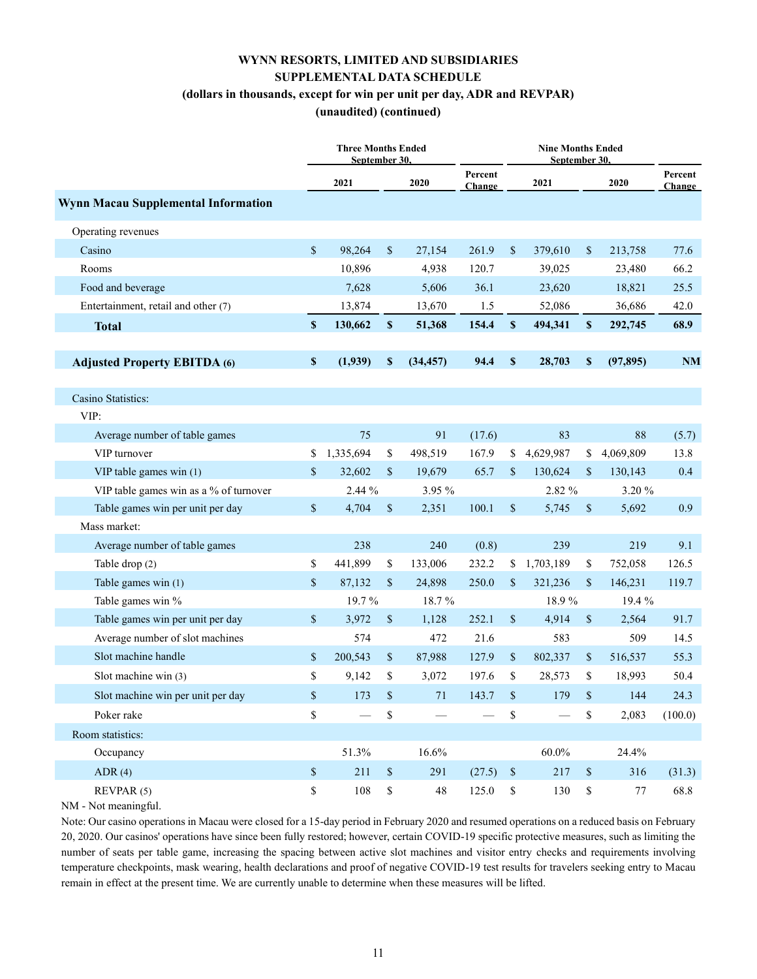#### **(dollars in thousands, except for win per unit per day, ADR and REVPAR)**

**(unaudited) (continued)**

|                                            |              | <b>Three Months Ended</b><br>September 30, |                           |           |                   |               |                          |               |           |                   |
|--------------------------------------------|--------------|--------------------------------------------|---------------------------|-----------|-------------------|---------------|--------------------------|---------------|-----------|-------------------|
|                                            |              | 2021                                       |                           | 2020      | Percent<br>Change |               | 2021                     |               | 2020      | Percent<br>Change |
| <b>Wynn Macau Supplemental Information</b> |              |                                            |                           |           |                   |               |                          |               |           |                   |
| Operating revenues                         |              |                                            |                           |           |                   |               |                          |               |           |                   |
| Casino                                     | \$           | 98,264                                     | $\mathcal{S}$             | 27,154    | 261.9             | <sup>\$</sup> | 379,610                  | $\mathbb{S}$  | 213,758   | 77.6              |
| Rooms                                      |              | 10,896                                     |                           | 4,938     | 120.7             |               | 39,025                   |               | 23,480    | 66.2              |
| Food and beverage                          |              | 7,628                                      |                           | 5,606     | 36.1              |               | 23,620                   |               | 18,821    | 25.5              |
| Entertainment, retail and other (7)        |              | 13,874                                     |                           | 13,670    | 1.5               |               | 52,086                   |               | 36,686    | 42.0              |
| <b>Total</b>                               | S            | 130,662                                    | $\mathbf S$               | 51,368    | 154.4             | $\mathbf{s}$  | 494,341                  | $\mathbf{s}$  | 292,745   | 68.9              |
| <b>Adjusted Property EBITDA (6)</b>        | $\mathbf S$  | (1,939)                                    | \$                        | (34, 457) | 94.4              | $\mathbf{s}$  | 28,703                   | $\mathbf{s}$  | (97, 895) | <b>NM</b>         |
|                                            |              |                                            |                           |           |                   |               |                          |               |           |                   |
| Casino Statistics:<br>VIP:                 |              |                                            |                           |           |                   |               |                          |               |           |                   |
| Average number of table games              |              | 75                                         |                           | 91        | (17.6)            |               | 83                       |               | 88        | (5.7)             |
| VIP turnover                               | S            | 1,335,694                                  | \$                        | 498,519   | 167.9             | \$            | 4,629,987                | \$            | 4,069,809 | 13.8              |
| VIP table games win (1)                    | $\mathbb{S}$ | 32,602                                     | $\mathbf S$               | 19,679    | 65.7              | $\mathbb{S}$  | 130,624                  | $\mathbb{S}$  | 130,143   | 0.4               |
| VIP table games win as a % of turnover     |              | 2.44 %                                     |                           | 3.95 %    |                   |               | 2.82 %                   |               | 3.20 %    |                   |
| Table games win per unit per day           | \$           | 4,704                                      | \$                        | 2,351     | 100.1             | $\mathbb{S}$  | 5,745                    | $\mathcal{S}$ | 5,692     | 0.9               |
| Mass market:                               |              |                                            |                           |           |                   |               |                          |               |           |                   |
| Average number of table games              |              | 238                                        |                           | 240       | (0.8)             |               | 239                      |               | 219       | 9.1               |
| Table drop (2)                             | \$           | 441,899                                    | \$                        | 133,006   | 232.2             | \$            | 1,703,189                | \$            | 752,058   | 126.5             |
| Table games win (1)                        | \$           | 87,132                                     | $\mathcal{S}$             | 24,898    | 250.0             | $\mathcal{S}$ | 321,236                  | $\mathcal{S}$ | 146,231   | 119.7             |
| Table games win %                          |              | 19.7%                                      |                           | 18.7%     |                   |               | 18.9%                    |               | 19.4 %    |                   |
| Table games win per unit per day           | $\mathbb{S}$ | 3,972                                      | $\mathcal{S}$             | 1,128     | 252.1             | $\mathcal{S}$ | 4,914                    | $\mathbb{S}$  | 2,564     | 91.7              |
| Average number of slot machines            |              | 574                                        |                           | 472       | 21.6              |               | 583                      |               | 509       | 14.5              |
| Slot machine handle                        | \$           | 200,543                                    | \$                        | 87,988    | 127.9             | $\mathcal{S}$ | 802,337                  | \$            | 516,537   | 55.3              |
| Slot machine win (3)                       | \$           | 9,142                                      | \$                        | 3,072     | 197.6             | \$            | 28,573                   | \$            | 18,993    | 50.4              |
| Slot machine win per unit per day          | $\mathbb S$  | 173                                        | \$                        | $71\,$    | 143.7             | $\$$          | 179                      | $\$$          | 144       | 24.3              |
| Poker rake                                 | \$           | $\overline{\phantom{0}}$                   | $\$$                      |           |                   | \$            | $\overline{\phantom{0}}$ | $\mathbb{S}$  | 2,083     | (100.0)           |
| Room statistics:                           |              |                                            |                           |           |                   |               |                          |               |           |                   |
| Occupancy                                  |              | 51.3%                                      |                           | 16.6%     |                   |               | $60.0\%$                 |               | 24.4%     |                   |
| ADR(4)                                     | $\mathbb S$  | 211                                        | $\boldsymbol{\mathsf{S}}$ | 291       | $(27.5)$ \$       |               | 217                      | $\$$          | 316       | (31.3)            |
| REVPAR <sub>(5)</sub>                      | \$           | 108                                        | $\$$                      | 48        | 125.0             | $\mathbb{S}$  | 130                      | $\mathbb{S}$  | $77\,$    | 68.8              |

NM - Not meaningful.

Note: Our casino operations in Macau were closed for a 15-day period in February 2020 and resumed operations on a reduced basis on February 20, 2020. Our casinos' operations have since been fully restored; however, certain COVID-19 specific protective measures, such as limiting the number of seats per table game, increasing the spacing between active slot machines and visitor entry checks and requirements involving temperature checkpoints, mask wearing, health declarations and proof of negative COVID-19 test results for travelers seeking entry to Macau remain in effect at the present time. We are currently unable to determine when these measures will be lifted.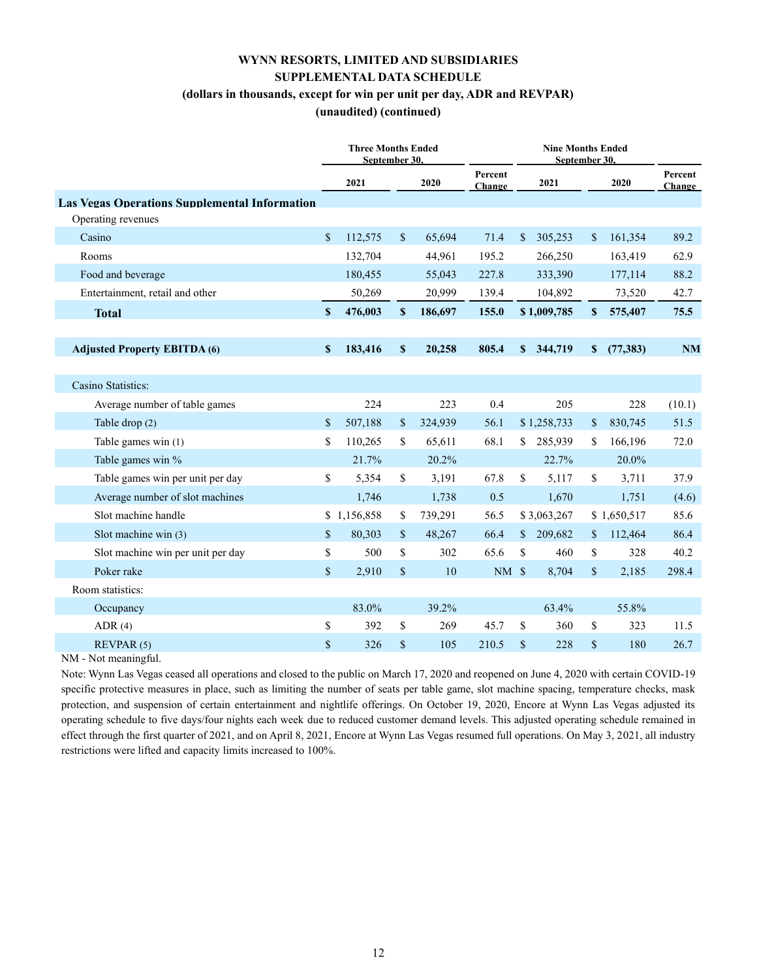#### **(dollars in thousands, except for win per unit per day, ADR and REVPAR)**

**(unaudited) (continued)**

|                                                      | <b>Three Months Ended</b><br>September 30. |             |             |                  |                   |               | <b>Nine Months Ended</b><br>September 30. |                    |             |                   |
|------------------------------------------------------|--------------------------------------------|-------------|-------------|------------------|-------------------|---------------|-------------------------------------------|--------------------|-------------|-------------------|
|                                                      |                                            | 2021        |             | 2020             | Percent<br>Change |               | 2021                                      |                    | 2020        | Percent<br>Change |
| <b>Las Vegas Operations Supplemental Information</b> |                                            |             |             |                  |                   |               |                                           |                    |             |                   |
| Operating revenues                                   |                                            |             |             |                  |                   |               |                                           |                    |             |                   |
| Casino                                               | $\mathbf S$                                | 112,575     | \$          | 65,694           | 71.4              | $\mathbb{S}$  | 305,253                                   | \$                 | 161,354     | 89.2              |
| Rooms                                                |                                            | 132,704     |             | 44,961           | 195.2             |               | 266,250                                   |                    | 163,419     | 62.9              |
| Food and beverage                                    |                                            | 180,455     |             | 55,043           | 227.8             |               | 333,390                                   |                    | 177,114     | 88.2              |
| Entertainment, retail and other                      |                                            | 50,269      |             | 20,999           | 139.4             |               | 104,892                                   |                    | 73,520      | 42.7              |
| <b>Total</b>                                         | $\mathbf{s}$                               | 476,003     | S           | 186,697          | 155.0             |               | \$1,009,785                               | $\mathbf{s}$       | 575,407     | 75.5              |
|                                                      |                                            |             |             |                  |                   |               |                                           |                    |             |                   |
| <b>Adjusted Property EBITDA (6)</b>                  | $\mathbf{s}$                               | 183,416     | $\mathbf S$ | 20,258           | 805.4             |               | \$344,719                                 | S                  | (77, 383)   | <b>NM</b>         |
|                                                      |                                            |             |             |                  |                   |               |                                           |                    |             |                   |
| Casino Statistics:                                   |                                            |             |             |                  |                   |               |                                           |                    |             |                   |
| Average number of table games                        |                                            | 224         |             | 223              | 0.4               |               | 205                                       |                    | 228         | (10.1)            |
| Table drop (2)                                       | \$                                         | 507,188     | \$          | 324,939          | 56.1              |               | \$1,258,733                               | \$                 | 830,745     | 51.5              |
| Table games win (1)                                  | \$                                         | 110,265     | \$          | 65,611           | 68.1              | \$            | 285,939                                   | \$                 | 166,196     | 72.0              |
| Table games win %                                    |                                            | 21.7%       |             | 20.2%            |                   |               | 22.7%                                     |                    | 20.0%       |                   |
| Table games win per unit per day                     | \$                                         | 5,354       | \$          | 3,191            | 67.8              | \$            | 5,117                                     | \$                 | 3,711       | 37.9              |
| Average number of slot machines                      |                                            | 1,746       |             | 1,738            | 0.5               |               | 1,670                                     |                    | 1,751       | (4.6)             |
| Slot machine handle                                  |                                            | \$1,156,858 | \$          | 739,291          | 56.5              |               | \$3,063,267                               |                    | \$1,650,517 | 85.6              |
| Slot machine win (3)                                 | \$                                         | 80,303      | \$          | 48,267           | 66.4              | $\mathsf{\$}$ | 209,682                                   | \$                 | 112,464     | 86.4              |
| Slot machine win per unit per day                    | \$                                         | 500         | \$          | 302              | 65.6              | \$            | 460                                       | \$                 | 328         | 40.2              |
| Poker rake                                           | $\mathbf{\hat{s}}$                         | 2,910       | \$          | 10 <sup>10</sup> | $NM$ \$           |               | 8,704                                     | $\mathbf{\hat{S}}$ | 2,185       | 298.4             |
| Room statistics:                                     |                                            |             |             |                  |                   |               |                                           |                    |             |                   |
| Occupancy                                            |                                            | 83.0%       |             | 39.2%            |                   |               | 63.4%                                     |                    | 55.8%       |                   |
| ADR(4)                                               | \$                                         | 392         | \$          | 269              | 45.7              | \$            | 360                                       | \$                 | 323         | 11.5              |
| REVPAR <sub>(5)</sub>                                | \$                                         | 326         | \$          | 105              | 210.5             | \$            | 228                                       | \$                 | 180         | 26.7              |

NM - Not meaningful.

Note: Wynn Las Vegas ceased all operations and closed to the public on March 17, 2020 and reopened on June 4, 2020 with certain COVID-19 specific protective measures in place, such as limiting the number of seats per table game, slot machine spacing, temperature checks, mask protection, and suspension of certain entertainment and nightlife offerings. On October 19, 2020, Encore at Wynn Las Vegas adjusted its operating schedule to five days/four nights each week due to reduced customer demand levels. This adjusted operating schedule remained in effect through the first quarter of 2021, and on April 8, 2021, Encore at Wynn Las Vegas resumed full operations. On May 3, 2021, all industry restrictions were lifted and capacity limits increased to 100%.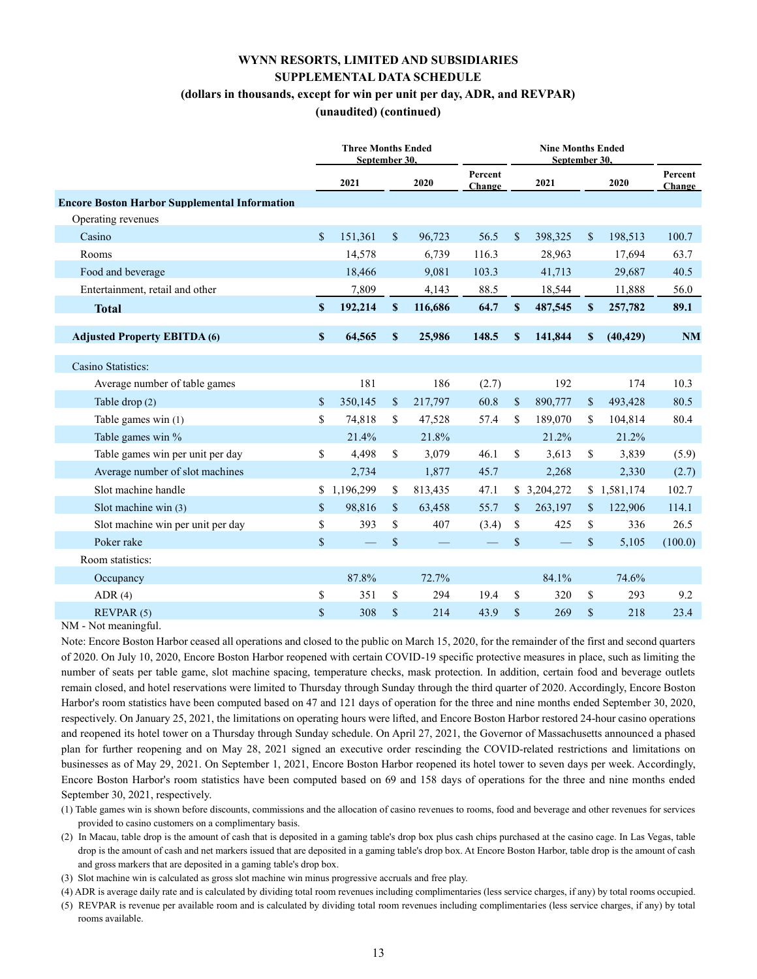#### **(dollars in thousands, except for win per unit per day, ADR, and REVPAR)**

**(unaudited) (continued)**

|                                                      | <b>Three Months Ended</b><br>September 30, |             |               |         |                   |              | <b>Nine Months Ended</b><br>September 30. |              |             |                   |
|------------------------------------------------------|--------------------------------------------|-------------|---------------|---------|-------------------|--------------|-------------------------------------------|--------------|-------------|-------------------|
|                                                      |                                            | 2021        |               | 2020    | Percent<br>Change |              | 2021                                      |              | 2020        | Percent<br>Change |
| <b>Encore Boston Harbor Supplemental Information</b> |                                            |             |               |         |                   |              |                                           |              |             |                   |
| Operating revenues                                   |                                            |             |               |         |                   |              |                                           |              |             |                   |
| Casino                                               | $\mathbb{S}$                               | 151,361     | $\mathcal{S}$ | 96,723  | 56.5              | $\mathbb{S}$ | 398,325                                   | $\mathbb{S}$ | 198,513     | 100.7             |
| Rooms                                                |                                            | 14,578      |               | 6,739   | 116.3             |              | 28,963                                    |              | 17,694      | 63.7              |
| Food and beverage                                    |                                            | 18,466      |               | 9,081   | 103.3             |              | 41,713                                    |              | 29,687      | 40.5              |
| Entertainment, retail and other                      |                                            | 7,809       |               | 4,143   | 88.5              |              | 18,544                                    |              | 11,888      | 56.0              |
| <b>Total</b>                                         | $\mathbf{s}$                               | 192,214     | \$            | 116,686 | 64.7              | \$           | 487,545                                   | $\mathbf{s}$ | 257,782     | 89.1              |
| <b>Adjusted Property EBITDA (6)</b>                  | $\mathbf{s}$                               | 64,565      | S             | 25,986  | 148.5             | $\mathbf{s}$ | 141,844                                   | $\mathbf{s}$ | (40, 429)   | <b>NM</b>         |
| Casino Statistics:                                   |                                            |             |               |         |                   |              |                                           |              |             |                   |
| Average number of table games                        |                                            | 181         |               | 186     | (2.7)             |              | 192                                       |              | 174         | 10.3              |
| Table drop (2)                                       | $\mathbb{S}$                               | 350,145     | $\mathbb{S}$  | 217,797 | 60.8              | $\mathbb{S}$ | 890,777                                   | \$           | 493,428     | 80.5              |
| Table games win (1)                                  | \$                                         | 74,818      | \$            | 47,528  | 57.4              | \$           | 189,070                                   | \$           | 104,814     | 80.4              |
| Table games win %                                    |                                            | 21.4%       |               | 21.8%   |                   |              | 21.2%                                     |              | 21.2%       |                   |
| Table games win per unit per day                     | \$                                         | 4,498       | \$            | 3,079   | 46.1              | \$           | 3,613                                     | \$           | 3,839       | (5.9)             |
| Average number of slot machines                      |                                            | 2,734       |               | 1,877   | 45.7              |              | 2,268                                     |              | 2,330       | (2.7)             |
| Slot machine handle                                  |                                            | \$1,196,299 | \$            | 813,435 | 47.1              |              | \$3,204,272                               |              | \$1,581,174 | 102.7             |
| Slot machine win (3)                                 | \$                                         | 98,816      | $\mathbb{S}$  | 63,458  | 55.7              | \$           | 263,197                                   | \$           | 122,906     | 114.1             |
| Slot machine win per unit per day                    | \$                                         | 393         | \$            | 407     | (3.4)             | $\mathbb{S}$ | 425                                       | \$           | 336         | 26.5              |
| Poker rake                                           | $\mathbb{S}$                               |             | $\mathbb{S}$  |         |                   | $\mathbb{S}$ |                                           | \$           | 5,105       | (100.0)           |
| Room statistics:                                     |                                            |             |               |         |                   |              |                                           |              |             |                   |
| Occupancy                                            |                                            | 87.8%       |               | 72.7%   |                   |              | 84.1%                                     |              | 74.6%       |                   |
| ADR(4)                                               | \$                                         | 351         | \$            | 294     | 19.4              | \$           | 320                                       | \$           | 293         | 9.2               |
| REVPAR(5)                                            | \$                                         | 308         | \$            | 214     | 43.9              | \$           | 269                                       | \$           | 218         | 23.4              |

NM - Not meaningful.

rooms available.

Note: Encore Boston Harbor ceased all operations and closed to the public on March 15, 2020, for the remainder of the first and second quarters of 2020. On July 10, 2020, Encore Boston Harbor reopened with certain COVID-19 specific protective measures in place, such as limiting the number of seats per table game, slot machine spacing, temperature checks, mask protection. In addition, certain food and beverage outlets remain closed, and hotel reservations were limited to Thursday through Sunday through the third quarter of 2020. Accordingly, Encore Boston Harbor's room statistics have been computed based on 47 and 121 days of operation for the three and nine months ended September 30, 2020, respectively. On January 25, 2021, the limitations on operating hours were lifted, and Encore Boston Harbor restored 24-hour casino operations and reopened its hotel tower on a Thursday through Sunday schedule. On April 27, 2021, the Governor of Massachusetts announced a phased plan for further reopening and on May 28, 2021 signed an executive order rescinding the COVID-related restrictions and limitations on businesses as of May 29, 2021. On September 1, 2021, Encore Boston Harbor reopened its hotel tower to seven days per week. Accordingly, Encore Boston Harbor's room statistics have been computed based on 69 and 158 days of operations for the three and nine months ended September 30, 2021, respectively.

(1) Table games win is shown before discounts, commissions and the allocation of casino revenues to rooms, food and beverage and other revenues for services provided to casino customers on a complimentary basis.

(2) In Macau, table drop is the amount of cash that is deposited in a gaming table's drop box plus cash chips purchased at the casino cage. In Las Vegas, table drop is the amount of cash and net markers issued that are deposited in a gaming table's drop box. At Encore Boston Harbor, table drop is the amount of cash and gross markers that are deposited in a gaming table's drop box.

(3) Slot machine win is calculated as gross slot machine win minus progressive accruals and free play.

(4) ADR is average daily rate and is calculated by dividing total room revenues including complimentaries (less service charges, if any) by total rooms occupied. (5) REVPAR is revenue per available room and is calculated by dividing total room revenues including complimentaries (less service charges, if any) by total